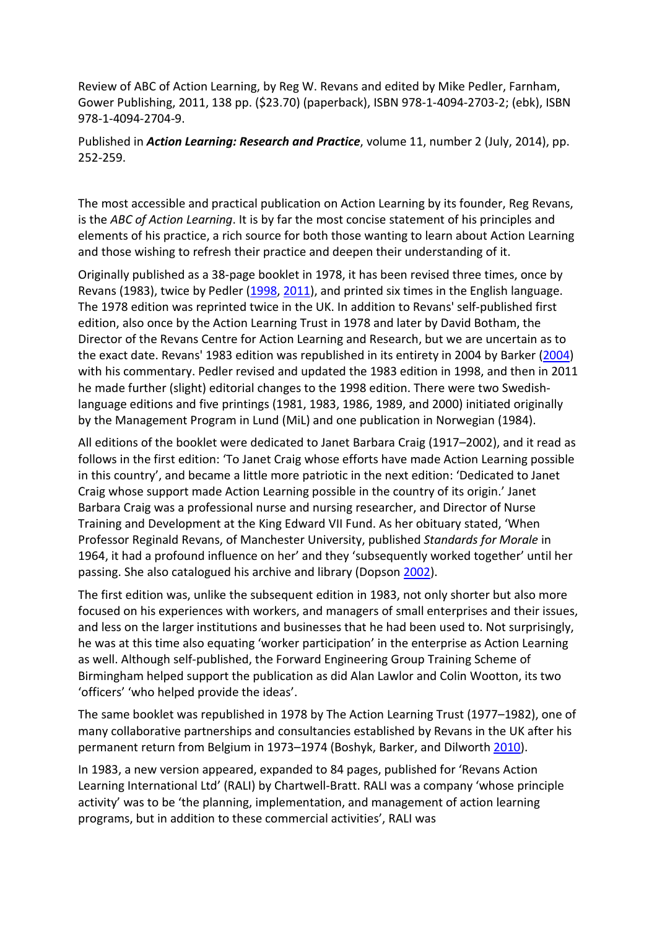Review of ABC of Action Learning, by Reg W. Revans and edited by Mike Pedler, Farnham, Gower Publishing, 2011, 138 pp. (\$23.70) (paperback), ISBN 978-1-4094-2703-2; (ebk), ISBN 978-1-4094-2704-9.

Published in *Action Learning: Research and Practice*, volume 11, number 2 (July, 2014), pp. 252-259.

The most accessible and practical publication on Action Learning by its founder, Reg Revans, is the *ABC of Action Learning*. It is by far the most concise statement of his principles and elements of his practice, a rich source for both those wanting to learn about Action Learning and those wishing to refresh their practice and deepen their understanding of it.

Originally published as a 38-page booklet in 1978, it has been revised three times, once by Revans (1983), twice by Pedler [\(1998,](http://www.tandfonline.com/doi/full/10.1080/14767333.2014.909234#CIT0010) [2011\)](http://www.tandfonline.com/doi/full/10.1080/14767333.2014.909234#CIT0011), and printed six times in the English language. The 1978 edition was reprinted twice in the UK. In addition to Revans' self-published first edition, also once by the Action Learning Trust in 1978 and later by David Botham, the Director of the Revans Centre for Action Learning and Research, but we are uncertain as to the exact date. Revans' 1983 edition was republished in its entirety in 2004 by Barker [\(2004\)](http://www.tandfonline.com/doi/full/10.1080/14767333.2014.909234#CIT0001) with his commentary. Pedler revised and updated the 1983 edition in 1998, and then in 2011 he made further (slight) editorial changes to the 1998 edition. There were two Swedishlanguage editions and five printings (1981, 1983, 1986, 1989, and 2000) initiated originally by the Management Program in Lund (MiL) and one publication in Norwegian (1984).

All editions of the booklet were dedicated to Janet Barbara Craig (1917–2002), and it read as follows in the first edition: 'To Janet Craig whose efforts have made Action Learning possible in this country', and became a little more patriotic in the next edition: 'Dedicated to Janet Craig whose support made Action Learning possible in the country of its origin.' Janet Barbara Craig was a professional nurse and nursing researcher, and Director of Nurse Training and Development at the King Edward VII Fund. As her obituary stated, 'When Professor Reginald Revans, of Manchester University, published *Standards for Morale* in 1964, it had a profound influence on her' and they 'subsequently worked together' until her passing. She also catalogued his archive and library (Dopson [2002\)](http://www.tandfonline.com/doi/full/10.1080/14767333.2014.909234#CIT0005).

The first edition was, unlike the subsequent edition in 1983, not only shorter but also more focused on his experiences with workers, and managers of small enterprises and their issues, and less on the larger institutions and businesses that he had been used to. Not surprisingly, he was at this time also equating 'worker participation' in the enterprise as Action Learning as well. Although self-published, the Forward Engineering Group Training Scheme of Birmingham helped support the publication as did Alan Lawlor and Colin Wootton, its two 'officers' 'who helped provide the ideas'.

The same booklet was republished in 1978 by The Action Learning Trust (1977–1982), one of many collaborative partnerships and consultancies established by Revans in the UK after his permanent return from Belgium in 1973–1974 (Boshyk, Barker, and Dilworth [2010\)](http://www.tandfonline.com/doi/full/10.1080/14767333.2014.909234#CIT0002).

In 1983, a new version appeared, expanded to 84 pages, published for 'Revans Action Learning International Ltd' (RALI) by Chartwell-Bratt. RALI was a company 'whose principle activity' was to be 'the planning, implementation, and management of action learning programs, but in addition to these commercial activities', RALI was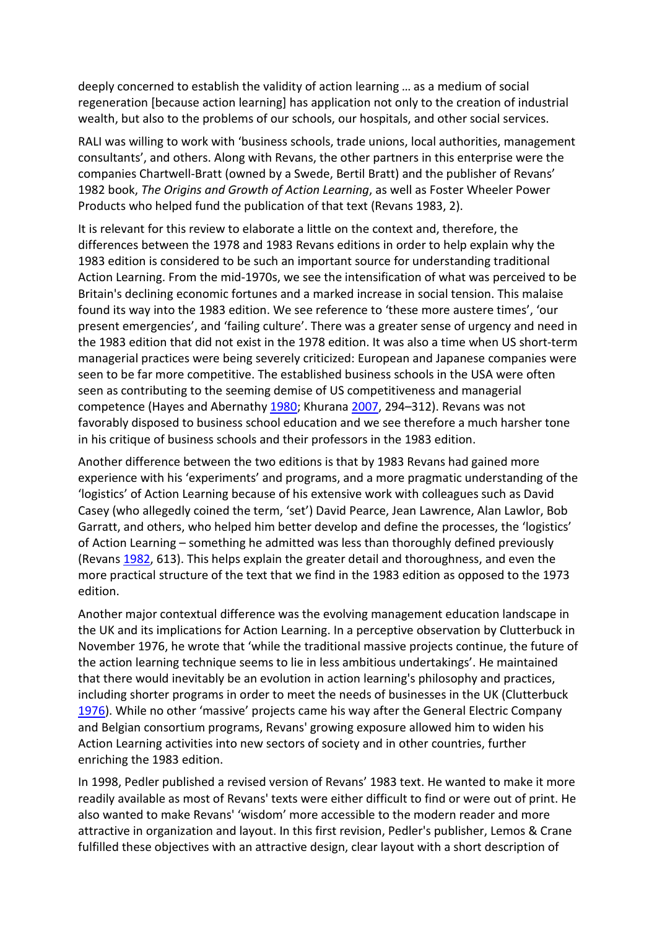deeply concerned to establish the validity of action learning … as a medium of social regeneration [because action learning] has application not only to the creation of industrial wealth, but also to the problems of our schools, our hospitals, and other social services.

RALI was willing to work with 'business schools, trade unions, local authorities, management consultants', and others. Along with Revans, the other partners in this enterprise were the companies Chartwell-Bratt (owned by a Swede, Bertil Bratt) and the publisher of Revans' 1982 book, *The Origins and Growth of Action Learning*, as well as Foster Wheeler Power Products who helped fund the publication of that text (Revans 1983, 2).

It is relevant for this review to elaborate a little on the context and, therefore, the differences between the 1978 and 1983 Revans editions in order to help explain why the 1983 edition is considered to be such an important source for understanding traditional Action Learning. From the mid-1970s, we see the intensification of what was perceived to be Britain's declining economic fortunes and a marked increase in social tension. This malaise found its way into the 1983 edition. We see reference to 'these more austere times', 'our present emergencies', and 'failing culture'. There was a greater sense of urgency and need in the 1983 edition that did not exist in the 1978 edition. It was also a time when US short-term managerial practices were being severely criticized: European and Japanese companies were seen to be far more competitive. The established business schools in the USA were often seen as contributing to the seeming demise of US competitiveness and managerial competence (Hayes and Abernathy [1980;](http://www.tandfonline.com/doi/full/10.1080/14767333.2014.909234#CIT0006) Khurana [2007,](http://www.tandfonline.com/doi/full/10.1080/14767333.2014.909234#CIT0007) 294–312). Revans was not favorably disposed to business school education and we see therefore a much harsher tone in his critique of business schools and their professors in the 1983 edition.

Another difference between the two editions is that by 1983 Revans had gained more experience with his 'experiments' and programs, and a more pragmatic understanding of the 'logistics' of Action Learning because of his extensive work with colleagues such as David Casey (who allegedly coined the term, 'set') David Pearce, Jean Lawrence, Alan Lawlor, Bob Garratt, and others, who helped him better develop and define the processes, the 'logistics' of Action Learning – something he admitted was less than thoroughly defined previously (Revans [1982,](http://www.tandfonline.com/doi/full/10.1080/14767333.2014.909234#CIT0016) 613). This helps explain the greater detail and thoroughness, and even the more practical structure of the text that we find in the 1983 edition as opposed to the 1973 edition.

Another major contextual difference was the evolving management education landscape in the UK and its implications for Action Learning. In a perceptive observation by Clutterbuck in November 1976, he wrote that 'while the traditional massive projects continue, the future of the action learning technique seems to lie in less ambitious undertakings'. He maintained that there would inevitably be an evolution in action learning's philosophy and practices, including shorter programs in order to meet the needs of businesses in the UK (Clutterbuck [1976\)](http://www.tandfonline.com/doi/full/10.1080/14767333.2014.909234#CIT0003). While no other 'massive' projects came his way after the General Electric Company and Belgian consortium programs, Revans' growing exposure allowed him to widen his Action Learning activities into new sectors of society and in other countries, further enriching the 1983 edition.

In 1998, Pedler published a revised version of Revans' 1983 text. He wanted to make it more readily available as most of Revans' texts were either difficult to find or were out of print. He also wanted to make Revans' 'wisdom' more accessible to the modern reader and more attractive in organization and layout. In this first revision, Pedler's publisher, Lemos & Crane fulfilled these objectives with an attractive design, clear layout with a short description of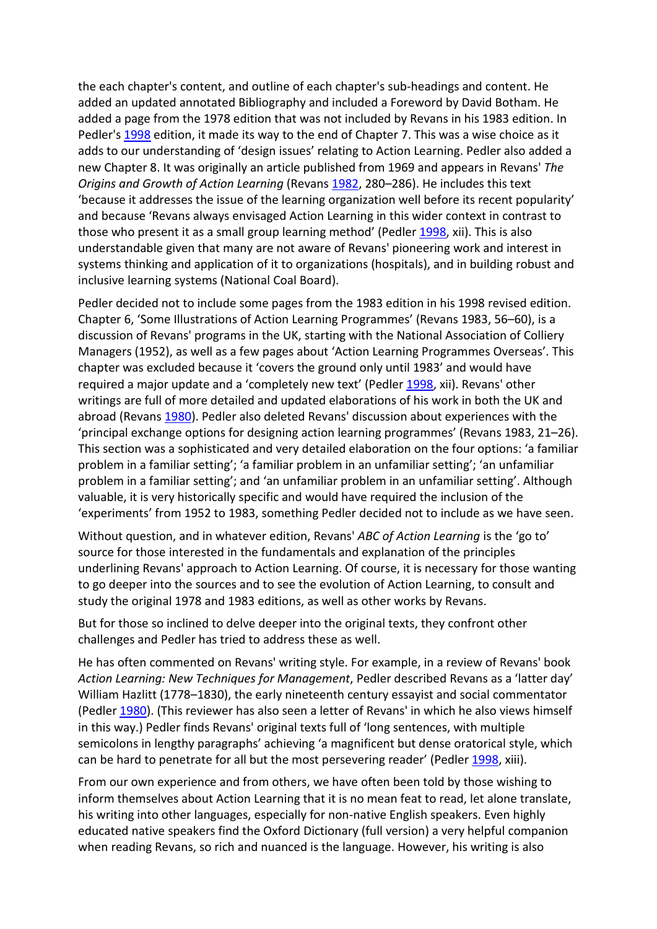the each chapter's content, and outline of each chapter's sub-headings and content. He added an updated annotated Bibliography and included a Foreword by David Botham. He added a page from the 1978 edition that was not included by Revans in his 1983 edition. In Pedler's [1998](http://www.tandfonline.com/doi/full/10.1080/14767333.2014.909234#CIT0010) edition, it made its way to the end of Chapter 7. This was a wise choice as it adds to our understanding of 'design issues' relating to Action Learning. Pedler also added a new Chapter 8. It was originally an article published from 1969 and appears in Revans' *The Origins and Growth of Action Learning* (Revans [1982,](http://www.tandfonline.com/doi/full/10.1080/14767333.2014.909234#CIT0016) 280–286). He includes this text 'because it addresses the issue of the learning organization well before its recent popularity' and because 'Revans always envisaged Action Learning in this wider context in contrast to those who present it as a small group learning method' (Pedler [1998,](http://www.tandfonline.com/doi/full/10.1080/14767333.2014.909234#CIT0010) xii). This is also understandable given that many are not aware of Revans' pioneering work and interest in systems thinking and application of it to organizations (hospitals), and in building robust and inclusive learning systems (National Coal Board).

Pedler decided not to include some pages from the 1983 edition in his 1998 revised edition. Chapter 6, 'Some Illustrations of Action Learning Programmes' (Revans 1983, 56–60), is a discussion of Revans' programs in the UK, starting with the National Association of Colliery Managers (1952), as well as a few pages about 'Action Learning Programmes Overseas'. This chapter was excluded because it 'covers the ground only until 1983' and would have required a major update and a 'completely new text' (Pedler [1998,](http://www.tandfonline.com/doi/full/10.1080/14767333.2014.909234#CIT0010) xii). Revans' other writings are full of more detailed and updated elaborations of his work in both the UK and abroad (Revans [1980\)](http://www.tandfonline.com/doi/full/10.1080/14767333.2014.909234#CIT0014). Pedler also deleted Revans' discussion about experiences with the 'principal exchange options for designing action learning programmes' (Revans 1983, 21–26). This section was a sophisticated and very detailed elaboration on the four options: 'a familiar problem in a familiar setting'; 'a familiar problem in an unfamiliar setting'; 'an unfamiliar problem in a familiar setting'; and 'an unfamiliar problem in an unfamiliar setting'. Although valuable, it is very historically specific and would have required the inclusion of the 'experiments' from 1952 to 1983, something Pedler decided not to include as we have seen.

Without question, and in whatever edition, Revans' *ABC of Action Learning* is the 'go to' source for those interested in the fundamentals and explanation of the principles underlining Revans' approach to Action Learning. Of course, it is necessary for those wanting to go deeper into the sources and to see the evolution of Action Learning, to consult and study the original 1978 and 1983 editions, as well as other works by Revans.

But for those so inclined to delve deeper into the original texts, they confront other challenges and Pedler has tried to address these as well.

He has often commented on Revans' writing style. For example, in a review of Revans' book *Action Learning: New Techniques for Management*, Pedler described Revans as a 'latter day' William Hazlitt (1778–1830), the early nineteenth century essayist and social commentator (Pedler [1980\)](http://www.tandfonline.com/doi/full/10.1080/14767333.2014.909234#CIT0009). (This reviewer has also seen a letter of Revans' in which he also views himself in this way.) Pedler finds Revans' original texts full of 'long sentences, with multiple semicolons in lengthy paragraphs' achieving 'a magnificent but dense oratorical style, which can be hard to penetrate for all but the most persevering reader' (Pedle[r 1998,](http://www.tandfonline.com/doi/full/10.1080/14767333.2014.909234#CIT0010) xiii).

From our own experience and from others, we have often been told by those wishing to inform themselves about Action Learning that it is no mean feat to read, let alone translate, his writing into other languages, especially for non-native English speakers. Even highly educated native speakers find the Oxford Dictionary (full version) a very helpful companion when reading Revans, so rich and nuanced is the language. However, his writing is also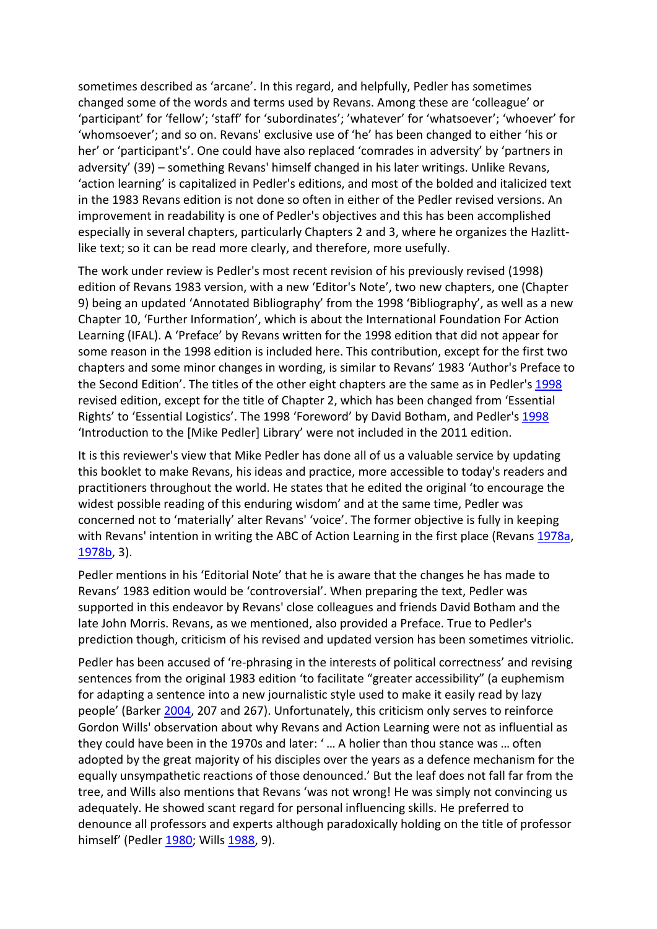sometimes described as 'arcane'. In this regard, and helpfully, Pedler has sometimes changed some of the words and terms used by Revans. Among these are 'colleague' or 'participant' for 'fellow'; 'staff' for 'subordinates'; 'whatever' for 'whatsoever'; 'whoever' for 'whomsoever'; and so on. Revans' exclusive use of 'he' has been changed to either 'his or her' or 'participant's'. One could have also replaced 'comrades in adversity' by 'partners in adversity' (39) – something Revans' himself changed in his later writings. Unlike Revans, 'action learning' is capitalized in Pedler's editions, and most of the bolded and italicized text in the 1983 Revans edition is not done so often in either of the Pedler revised versions. An improvement in readability is one of Pedler's objectives and this has been accomplished especially in several chapters, particularly Chapters 2 and 3, where he organizes the Hazlittlike text; so it can be read more clearly, and therefore, more usefully.

The work under review is Pedler's most recent revision of his previously revised (1998) edition of Revans 1983 version, with a new 'Editor's Note', two new chapters, one (Chapter 9) being an updated 'Annotated Bibliography' from the 1998 'Bibliography', as well as a new Chapter 10, 'Further Information', which is about the International Foundation For Action Learning (IFAL). A 'Preface' by Revans written for the 1998 edition that did not appear for some reason in the 1998 edition is included here. This contribution, except for the first two chapters and some minor changes in wording, is similar to Revans' 1983 'Author's Preface to the Second Edition'. The titles of the other eight chapters are the same as in Pedler's [1998](http://www.tandfonline.com/doi/full/10.1080/14767333.2014.909234#CIT0010) revised edition, except for the title of Chapter 2, which has been changed from 'Essential Rights' to 'Essential Logistics'. The 1998 'Foreword' by David Botham, and Pedler's [1998](http://www.tandfonline.com/doi/full/10.1080/14767333.2014.909234#CIT0010) 'Introduction to the [Mike Pedler] Library' were not included in the 2011 edition.

It is this reviewer's view that Mike Pedler has done all of us a valuable service by updating this booklet to make Revans, his ideas and practice, more accessible to today's readers and practitioners throughout the world. He states that he edited the original 'to encourage the widest possible reading of this enduring wisdom' and at the same time, Pedler was concerned not to 'materially' alter Revans' 'voice'. The former objective is fully in keeping with Revans' intention in writing the ABC of Action Learning in the first place (Revans [1978a,](http://www.tandfonline.com/doi/full/10.1080/14767333.2014.909234#CIT0012) [1978b,](http://www.tandfonline.com/doi/full/10.1080/14767333.2014.909234#CIT0013) 3).

Pedler mentions in his 'Editorial Note' that he is aware that the changes he has made to Revans' 1983 edition would be 'controversial'. When preparing the text, Pedler was supported in this endeavor by Revans' close colleagues and friends David Botham and the late John Morris. Revans, as we mentioned, also provided a Preface. True to Pedler's prediction though, criticism of his revised and updated version has been sometimes vitriolic.

Pedler has been accused of 're-phrasing in the interests of political correctness' and revising sentences from the original 1983 edition 'to facilitate "greater accessibility" (a euphemism for adapting a sentence into a new journalistic style used to make it easily read by lazy people' (Barker [2004,](http://www.tandfonline.com/doi/full/10.1080/14767333.2014.909234#CIT0001) 207 and 267). Unfortunately, this criticism only serves to reinforce Gordon Wills' observation about why Revans and Action Learning were not as influential as they could have been in the 1970s and later: ' … A holier than thou stance was … often adopted by the great majority of his disciples over the years as a defence mechanism for the equally unsympathetic reactions of those denounced.' But the leaf does not fall far from the tree, and Wills also mentions that Revans 'was not wrong! He was simply not convincing us adequately. He showed scant regard for personal influencing skills. He preferred to denounce all professors and experts although paradoxically holding on the title of professor himself' (Pedler [1980;](http://www.tandfonline.com/doi/full/10.1080/14767333.2014.909234#CIT0009) Wills [1988,](http://www.tandfonline.com/doi/full/10.1080/14767333.2014.909234#CIT0022) 9).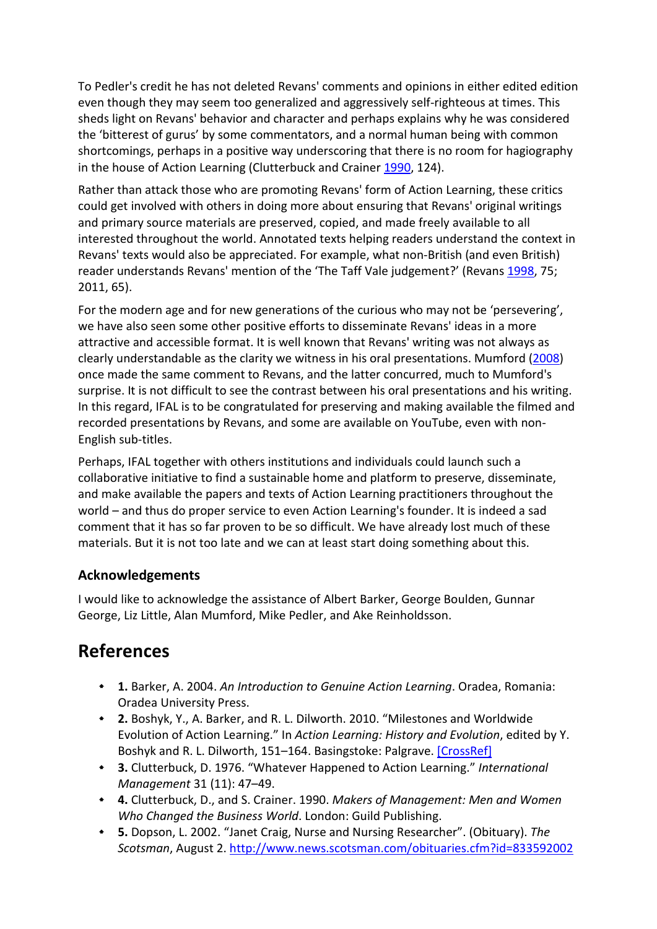To Pedler's credit he has not deleted Revans' comments and opinions in either edited edition even though they may seem too generalized and aggressively self-righteous at times. This sheds light on Revans' behavior and character and perhaps explains why he was considered the 'bitterest of gurus' by some commentators, and a normal human being with common shortcomings, perhaps in a positive way underscoring that there is no room for hagiography in the house of Action Learning (Clutterbuck and Crainer [1990,](http://www.tandfonline.com/doi/full/10.1080/14767333.2014.909234#CIT0004) 124).

Rather than attack those who are promoting Revans' form of Action Learning, these critics could get involved with others in doing more about ensuring that Revans' original writings and primary source materials are preserved, copied, and made freely available to all interested throughout the world. Annotated texts helping readers understand the context in Revans' texts would also be appreciated. For example, what non-British (and even British) reader understands Revans' mention of the 'The Taff Vale judgement?' (Revans [1998,](http://www.tandfonline.com/doi/full/10.1080/14767333.2014.909234#CIT0020) 75; 2011, 65).

For the modern age and for new generations of the curious who may not be 'persevering', we have also seen some other positive efforts to disseminate Revans' ideas in a more attractive and accessible format. It is well known that Revans' writing was not always as clearly understandable as the clarity we witness in his oral presentations. Mumford [\(2008\)](http://www.tandfonline.com/doi/full/10.1080/14767333.2014.909234#CIT0008) once made the same comment to Revans, and the latter concurred, much to Mumford's surprise. It is not difficult to see the contrast between his oral presentations and his writing. In this regard, IFAL is to be congratulated for preserving and making available the filmed and recorded presentations by Revans, and some are available on YouTube, even with non-English sub-titles.

Perhaps, IFAL together with others institutions and individuals could launch such a collaborative initiative to find a sustainable home and platform to preserve, disseminate, and make available the papers and texts of Action Learning practitioners throughout the world – and thus do proper service to even Action Learning's founder. It is indeed a sad comment that it has so far proven to be so difficult. We have already lost much of these materials. But it is not too late and we can at least start doing something about this.

## **Acknowledgements**

I would like to acknowledge the assistance of Albert Barker, George Boulden, Gunnar George, Liz Little, Alan Mumford, Mike Pedler, and Ake Reinholdsson.

## **References**

- **1.** Barker, A. 2004. *An Introduction to Genuine Action Learning*. Oradea, Romania: Oradea University Press.
- **2.** Boshyk, Y., A. Barker, and R. L. Dilworth. 2010. "Milestones and Worldwide Evolution of Action Learning." In *Action Learning: History and Evolution*, edited by Y. Boshyk and R. L. Dilworth, 151–164. Basingstoke: Palgrave. [\[CrossRef\]](http://www.tandfonline.com/servlet/linkout?suffix=CIT0002&dbid=16&doi=10.1080%2F14767333.2014.909234&key=10.1057%2F9780230250734)
- **3.** Clutterbuck, D. 1976. "Whatever Happened to Action Learning." *International Management* 31 (11): 47–49.
- **4.** Clutterbuck, D., and S. Crainer. 1990. *Makers of Management: Men and Women Who Changed the Business World*. London: Guild Publishing.
- **5.** Dopson, L. 2002. "Janet Craig, Nurse and Nursing Researcher". (Obituary). *The Scotsman*, August 2.<http://www.news.scotsman.com/obituaries.cfm?id=833592002>